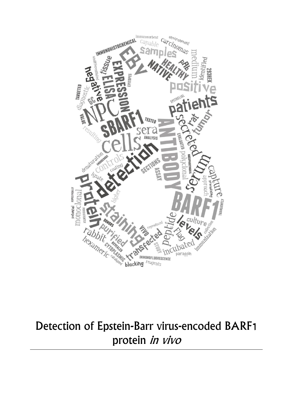

# Detection of Epstein-Barr virus-encoded BARF1 protein in vivo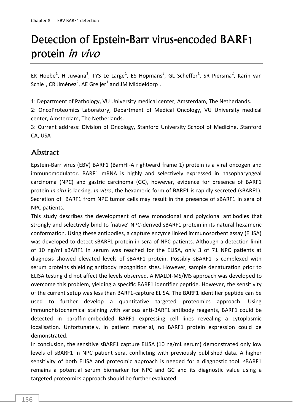# Detection of Epstein-Barr virus-encoded BARF1 protein in vivo

EK Hoebe<sup>1</sup>, H Juwana<sup>1</sup>, TYS Le Large<sup>1</sup>, ES Hopmans<sup>3</sup>, GL Scheffer<sup>1</sup>, SR Piersma<sup>2</sup>, Karin van Schie $^1$ , CR Jiménez $^2$ , AE Greijer $^1$  and JM Middeldorp $^1$ .

1: Department of Pathology, VU University medical center, Amsterdam, The Netherlands.

2: OncoProteomics Laboratory, Department of Medical Oncology, VU University medical center, Amsterdam, The Netherlands.

3: Current address: Division of Oncology, Stanford University School of Medicine, Stanford CA, USA

# **Abstract**

Epstein-Barr virus (EBV) BARF1 (BamHI-A rightward frame 1) protein is a viral oncogen and immunomodulator. BARF1 mRNA is highly and selectively expressed in nasopharyngeal carcinoma (NPC) and gastric carcinoma (GC), however, evidence for presence of BARF1 protein *in situ* is lacking. *In vitro*, the hexameric form of BARF1 is rapidly secreted (sBARF1). Secretion of BARF1 from NPC tumor cells may result in the presence of sBARF1 in sera of NPC patients.

This study describes the development of new monoclonal and polyclonal antibodies that strongly and selectively bind to 'native' NPC-derived sBARF1 protein in its natural hexameric conformation. Using these antibodies, a capture enzyme linked immunosorbent assay (ELISA) was developed to detect sBARF1 protein in sera of NPC patients. Although a detection limit of 10 ng/ml sBARF1 in serum was reached for the ELISA, only 3 of 71 NPC patients at diagnosis showed elevated levels of sBARF1 protein. Possibly sBARF1 is complexed with serum proteins shielding antibody recognition sites. However, sample denaturation prior to ELISA testing did not affect the levels observed. A MALDI-MS/MS approach was developed to overcome this problem, yielding a specific BARF1 identifier peptide. However, the sensitivity of the current setup was less than BARF1-capture ELISA. The BARF1 identifier peptide can be used to further develop a quantitative targeted proteomics approach. Using immunohistochemical staining with various anti-BARF1 antibody reagents, BARF1 could be detected in paraffin-embedded BARF1 expressing cell lines revealing a cytoplasmic localisation. Unfortunately, in patient material, no BARF1 protein expression could be demonstrated.

In conclusion, the sensitive sBARF1 capture ELISA (10 ng/mL serum) demonstrated only low levels of sBARF1 in NPC patient sera, conflicting with previously published data. A higher sensitivity of both ELISA and proteomic approach is needed for a diagnostic tool. sBARF1 remains a potential serum biomarker for NPC and GC and its diagnostic value using a targeted proteomics approach should be further evaluated.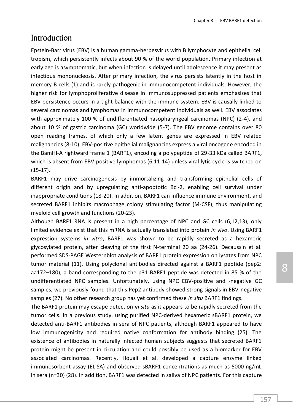## Introduction

Epstein-Barr virus (EBV) is a human gamma-herpesvirus with B lymphocyte and epithelial cell tropism, which persistently infects about 90 % of the world population. Primary infection at early age is asymptomatic, but when infection is delayed until adolescence it may present as infectious mononucleosis. After primary infection, the virus persists latently in the host in memory B cells (1) and is rarely pathogenic in immunocompetent individuals. However, the higher risk for lymphoproliferative disease in immunosuppressed patients emphasizes that EBV persistence occurs in a tight balance with the immune system. EBV is causally linked to several carcinomas and lymphomas in immunocompetent individuals as well. EBV associates with approximately 100 % of undifferentiated nasopharyngeal carcinomas (NPC) (2-4), and about 10 % of gastric carcinoma (GC) worldwide (5-7). The EBV genome contains over 80 open reading frames, of which only a few latent genes are expressed in EBV related malignancies (8-10). EBV-positive epithelial malignancies express a viral oncogene encoded in the BamHI-A rightward frame 1 (BARF1), encoding a polypeptide of 29-33 kDa called BARF1, which is absent from EBV-positive lymphomas (6,11-14) unless viral lytic cycle is switched on (15-17).

BARF1 may drive carcinogenesis by immortalizing and transforming epithelial cells of different origin and by upregulating anti-apoptotic Bcl-2, enabling cell survival under inappropriate conditions (18-20). In addition, BARF1 can influence immune environment, and secreted BARF1 inhibits macrophage colony stimulating factor (M-CSF), thus manipulating myeloid cell growth and functions (20-23).

Although BARF1 RNA is present in a high percentage of NPC and GC cells (6,12,13), only limited evidence exist that this mRNA is actually translated into protein *in vivo*. Using BARF1 expression systems *in vitro*, BARF1 was shown to be rapidly secreted as a hexameric glycosylated protein, after cleaving of the first N-terminal 20 aa (24-26). Decaussin et al. performed SDS-PAGE Westernblot analysis of BARF1 protein expression on lysates from NPC tumor material (11). Using polyclonal antibodies directed against a BARF1 peptide (pep2: aa172–180), a band corresponding to the p31 BARF1 peptide was detected in 85 % of the undifferentiated NPC samples. Unfortunately, using NPC EBV-positive and -negative GC samples, we previously found that this Pep2 antibody showed strong signals in EBV-negative samples (27). No other research group has yet confirmed these *in situ* BARF1 findings.

The BARF1 protein may escape detection *in situ* as it appears to be rapidly secreted from the tumor cells. In a previous study, using purified NPC-derived hexameric sBARF1 protein, we detected anti-BARF1 antibodies in sera of NPC patients, although BARF1 appeared to have low immunogenicity and required native conformation for antibody binding (25). The existence of antibodies in naturally infected human subjects suggests that secreted BARF1 protein might be present in circulation and could possibly be used as a biomarker for EBV associated carcinomas. Recently, Houali et al. developed a capture enzyme linked immunosorbent assay (ELISA) and observed sBARF1 concentrations as much as 5000 ng/mL in sera (n=30) (28). In addition, BARF1 was detected in saliva of NPC patients. For this capture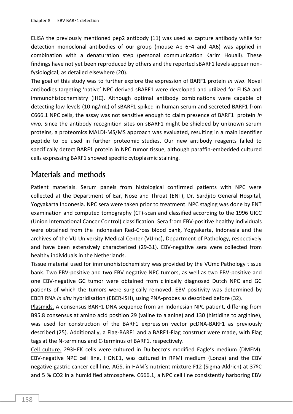ELISA the previously mentioned pep2 antibody (11) was used as capture antibody while for detection monoclonal antibodies of our group (mouse Ab 6F4 and 4A6) was applied in combination with a denaturation step (personal communication Karim Houali). These findings have not yet been reproduced by others and the reported sBARF1 levels appear nonfysiological, as detailed elsewhere (20).

The goal of this study was to further explore the expression of BARF1 protein *in vivo*. Novel antibodies targeting 'native' NPC derived sBARF1 were developed and utilized for ELISA and immunohistochemistry (IHC). Although optimal antibody combinations were capable of detecting low levels (10 ng/mL) of sBARF1 spiked in human serum and secreted BARF1 from C666.1 NPC cells, the assay was not sensitive enough to claim presence of BARF1 protein *in vivo*. Since the antibody recognition sites on sBARF1 might be shielded by unknown serum proteins, a proteomics MALDI-MS/MS approach was evaluated, resulting in a main identifier peptide to be used in further proteomic studies. Our new antibody reagents failed to specifically detect BARF1 protein in NPC tumor tissue, although paraffin-embedded cultured cells expressing BARF1 showed specific cytoplasmic staining.

# Materials and methods

Patient materials. Serum panels from histological confirmed patients with NPC were collected at the Department of Ear, Nose and Throat (ENT), Dr. Sardjito General Hospital, Yogyakarta Indonesia. NPC sera were taken prior to treatment. NPC staging was done by ENT examination and computed tomography (CT)-scan and classified according to the 1996 UICC (Union International Cancer Control) classification. Sera from EBV-positive healthy individuals were obtained from the Indonesian Red-Cross blood bank, Yogyakarta, Indonesia and the archives of the VU University Medical Center (VUmc), Department of Pathology, respectively and have been extensively characterized (29-31). EBV-negative sera were collected from healthy individuals in the Netherlands.

Tissue material used for immunohistochemistry was provided by the VUmc Pathology tissue bank. Two EBV-positive and two EBV negative NPC tumors, as well as two EBV-positive and one EBV-negative GC tumor were obtained from clinically diagnosed Dutch NPC and GC patients of which the tumors were surgically removed. EBV positivity was determined by EBER RNA *in situ* hybridisation (EBER-ISH), using PNA-probes as described before (32).

Plasmids. A consensus BARF1 DNA sequence from an Indonesian NPC patient, differing from B95.8 consensus at amino acid position 29 (valine to alanine) and 130 (histidine to arginine), was used for construction of the BARF1 expression vector pcDNA-BARF1 as previously described (25). Additionally, a Flag-BARF1 and a BARF1-Flag construct were made, with Flag tags at the N-terminus and C-terminus of BARF1, respectively.

Cell culture. 293HEK cells were cultured in Dulbecco's modified Eagle's medium (DMEM). EBV-negative NPC cell line, HONE1, was cultured in RPMI medium (Lonza) and the EBV negative gastric cancer cell line, AGS, in HAM's nutrient mixture F12 (Sigma-Aldrich) at 37ºC and 5 % CO2 in a humidified atmosphere. C666.1, a NPC cell line consistently harboring EBV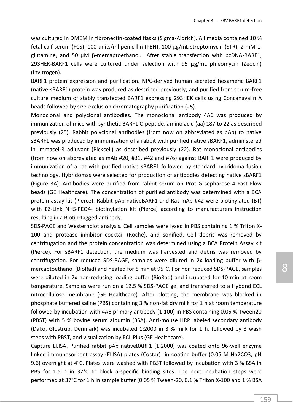was cultured in DMEM in fibronectin-coated flasks (Sigma-Aldrich). All media contained 10 % fetal calf serum (FCS), 100 units/ml penicillin (PEN), 100 µg/mL streptomycin (STR), 2 mM Lglutamine, and 50 µM β-mercaptoethanol. After stable transfection with pcDNA-BARF1, 293HEK-BARF1 cells were cultured under selection with 95 µg/mL phleomycin (Zeocin) (Invitrogen).

BARF1 protein expression and purification. NPC-derived human secreted hexameric BARF1 (native-sBARF1) protein was produced as described previously, and purified from serum-free culture medium of stably transfected BARF1 expressing 293HEK cells using Concanavalin A beads followed by size-exclusion chromatography purification (25).

Monoclonal and polyclonal antibodies. The monoclonal antibody 4A6 was produced by immunization of mice with synthetic BARF1 C-peptide, amino acid (aa) 187 to 22 as described previously (25). Rabbit polyclonal antibodies (from now on abbreviated as pAb) to native sBARF1 was produced by immunization of a rabbit with purified native sBARF1, administered in Immacel-R adjuvant (Pickcell) as described previously (22). Rat monoclonal antibodies (from now on abbreviated as mAb #20, #31, #42 and #76) against BARF1 were produced by immunization of a rat with purified native sBARF1 followed by standard hybridoma fusion technology. Hybridomas were selected for production of antibodies detecting native sBARF1 (Figure 3A). Antibodies were purified from rabbit serum on Prot G sepharose 4 Fast Flow beads (GE Healthcare). The concentration of purified antibody was determined with a BCA protein assay kit (Pierce). Rabbit pAb nativeBARF1 and Rat mAb #42 were biotinylated (BT) with EZ-Link NHS-PEO4- biotinylation kit (Pierce) according to manufacturers instruction resulting in a Biotin-tagged antibody.

SDS-PAGE and Westernblot analysis. Cell samples were lysed in PBS containing 1 % Triton X-100 and protease inhibitor cocktail (Roche), and sonified. Cell debris was removed by centrifugation and the protein concentration was determined using a BCA Protein Assay kit (Pierce). For sBARF1 detection, the medium was harvested and debris was removed by centrifugation. For reduced SDS-PAGE, samples were diluted in 2x loading buffer with βmercaptoethanol (BioRad) and heated for 5 min at 95°C. For non reduced SDS-PAGE, samples were diluted in 2x non-reducing loading buffer (BioRad) and incubated for 10 min at room temperature. Samples were run on a 12.5 % SDS-PAGE gel and transferred to a Hybond ECL nitrocellulose membrane (GE Healthcare). After blotting, the membrane was blocked in phosphate buffered saline (PBS) containing 3 % non-fat dry milk for 1 h at room temperature followed by incubation with 4A6 primary antibody (1:100) in PBS containing 0.05 % Tween20 (PBST) with 5 % bovine serum albumin (BSA). Anti-mouse HRP labeled secondary antibody (Dako, Glostrup, Denmark) was incubated 1:2000 in 3 % milk for 1 h, followed by 3 wash steps with PBST, and visualization by ECL Plus (GE Healthcare).

Capture ELISA. Purified rabbit pAb nativeBARF1 (1:2000) was coated onto 96-well enzyme linked immunosorbent assay (ELISA) plates (Costar) in coating buffer (0.05 M Na2CO3, pH 9.6) overnight at 4°C. Plates were washed with PBST followed by incubation with 3 % BSA in PBS for 1.5 h in 37°C to block a-specific binding sites. The next incubation steps were performed at 37°C for 1 h in sample buffer (0.05 % Tween-20, 0.1 % Triton X-100 and 1 % BSA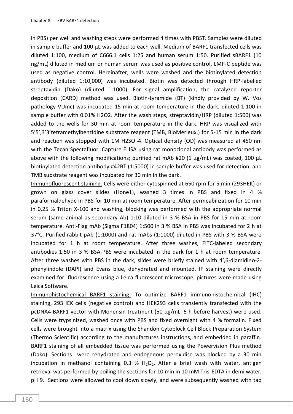in PBS) per well and washing steps were performed 4 times with PBST. Samples were diluted in sample buffer and 100 μL was added to each well. Medium of BARF1 transfected cells was diluted 1:100, medium of C666.1 cells 1:25 and human serum 1:50. Purified sBARF1 (10 ng/mL) diluted in medium or human serum was used as positive control, LMP-C peptide was used as negative control. Hereinafter, wells were washed and the biotinylated detection antibody (diluted 1:10,000) was incubated. Biotin was detected through HRP-labelled streptavidin (Dako) (diluted 1:1000). For signal amplification, the catalyzed reporter deposition (CARD) method was used. Biotin-tyramide (BT) (kindly provided by W. Vos pathology VUmc) was incubated 15 min at room temperature in the dark, diluted 1:100 in sample buffer with 0.01% H2O2. After the wash steps, streptavidin/HRP (diluted 1:500) was added to the wells for 30 min at room temperature in the dark. HRP was visualized with 5'5',3'3'tetramethylbenzidine substrate reagent (TMB, BioMerieux,) for 5-15 min in the dark and reaction was stopped with 1M H2SO¬4. Optical density (OD) was measured at 450 nm with the Tecan Spectafluor. Capture ELISA using rat monoclonal antibody was performed as above with the following modifications; purified rat mAb #20 (1  $\mu$ g/mL) was coated, 100  $\mu$ L biotinylated detection antibody #42BT (1:5000) in sample buffer was used for detection, and TMB substrate reagent was incubated for 30 min in the dark.

Immunofluorescent staining. Cells were either cytospinned at 650 rpm for 5 min (293HEK) or grown on glass cover slides (Hone1), washed 3 times in PBS and fixed in 4 % paraformaldehyde in PBS for 10 min at room temperature. After permeabilization for 10 min in 0.25 % Triton X-100 and washing, blocking was performed with the appropriate normal serum (same animal as secondary Ab) 1:10 diluted in 3 % BSA in PBS for 15 min at room temperature. Anti-Flag mAb (Sigma F1804) 1:500 in 3 % BSA in PBS was incubated for 2 h at 37°C. Purified rabbit pAb (1:1000) and rat mAbs (1:1000) diluted in PBS with 3 % BSA were incubated for 1 h at room temperature. After three washes, FITC-labeled secondary antibodies 1:50 in 3 % BSA-PBS were incubated in the dark for 1 h at room temperature. After three washes with PBS in the dark, slides were briefly stained with 4′,6-diamidino-2 phenylindole (DAPI) and Evans blue, dehydrated and mounted. IF staining were directly examined for fluorescence using a Leica fluorescent microscope, pictures were made using Leica Software.

Immunohistochemical BARF1 staining. To optimize BARF1 immunohistochemical (IHC) staining, 293HEK cells (negative control) and HEK293 cells transiently transfected with the pcDNA4-BARF1 vector with Monensin treatment (50 µg/mL, 5 h before harvest) were used. Cells were trypsinized, washed once with PBS and fixed overnight with 4 % formalin. Fixed cells were brought into a matrix using the Shandon Cytoblock Cell Block Preparation System (Thermo Scientific) according to the manufactures instructions, and embedded in paraffin. BARF1 staining of all embedded tissue was performed using the Powervision Plus method (Dako). Sections were rehydrated and endogenous peroxidise was blocked by a 30 min incubation in methanol containing 0.3 %  $H_2O_2$ . After a brief wash with water, antigen retrieval was performed by boiling the sections for 10 min in 10 mM Tris-EDTA in demi water, pH 9. Sections were allowed to cool down slowly, and were subsequently washed with tap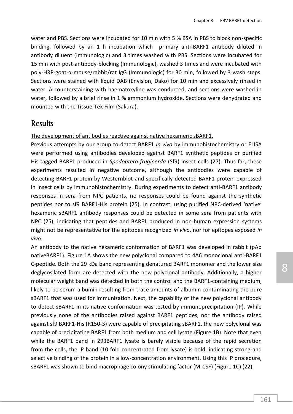water and PBS. Sections were incubated for 10 min with 5 % BSA in PBS to block non-specific binding, followed by an 1 h incubation which primary anti-BARF1 antibody diluted in antibody diluent (Immunologic) and 3 times washed with PBS. Sections were incubated for 15 min with post-antibody-blocking (Immunologic), washed 3 times and were incubated with poly-HRP-goat-α-mouse/rabbit/rat IgG (Immunologic) for 30 min, followed by 3 wash steps. Sections were stained with liquid DAB (Envision, Dako) for 10 min and excessively rinsed in water. A counterstaining with haematoxyline was conducted, and sections were washed in water, followed by a brief rinse in 1 % ammonium hydroxide. Sections were dehydrated and mounted with the Tissue-Tek Film (Sakura).

## Results

The development of antibodies reactive against native hexameric sBARF1.

Previous attempts by our group to detect BARF1 *in vivo* by immunohistochemistry or ELISA were performed using antibodies developed against BARF1 synthetic peptides or purified His-tagged BARF1 produced in *Spodoptera frugiperda* (Sf9) insect cells (27). Thus far, these experiments resulted in negative outcome, although the antibodies were capable of detecting BARF1 protein by Westernblot and specifically detected BARF1 protein expressed in insect cells by immunohistochemistry. During experiments to detect anti-BARF1 antibody responses in sera from NPC patients, no responses could be found against the synthetic peptides nor to sf9 BARF1-His protein (25). In contrast, using purified NPC-derived 'native' hexameric sBARF1 antibody responses could be detected in some sera from patients with NPC (25), indicating that peptides and BARF1 produced in non-human expression systems might not be representative for the epitopes recognized *in vivo*, nor for epitopes exposed *in vivo*.

An antibody to the native hexameric conformation of BARF1 was developed in rabbit (pAb nativeBARF1). Figure 1A shows the new polyclonal compared to 4A6 monoclonal anti-BARF1 C-peptide. Both the 29 kDa band representing denatured BARF1 monomer and the lower size deglycosilated form are detected with the new polyclonal antibody. Additionally, a higher molecular weight band was detected in both the control and the BARF1-containing medium, likely to be serum albumin resulting from trace amounts of albumin contaminating the pure sBARF1 that was used for immunization. Next, the capability of the new polyclonal antibody to detect sBARF1 in its native conformation was tested by immunoprecipitation (IP). While previously none of the antibodies raised against BARF1 peptides, nor the antibody raised against sf9 BARF1-His (R150-3) were capable of precipitating sBARF1, the new polyclonal was capable of precipitating BARF1 from both medium and cell lysate (Figure 1B). Note that even while the BARF1 band in 293BARF1 lysate is barely visible because of the rapid secretion from the cells, the IP band (10-fold concentrated from lysate) is bold, indicating strong and selective binding of the protein in a low-concentration environment. Using this IP procedure, sBARF1 was shown to bind macrophage colony stimulating factor (M-CSF) (Figure 1C) (22).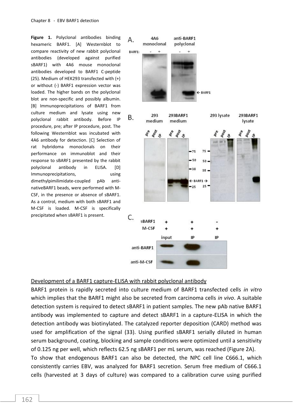**Figure 1.** Polyclonal antibodies binding hexameric BARF1. [A] Westernblot to compare reactivity of new rabbit polyclonal antibodies (developed against purified sBARF1) with 4A6 mouse monoclonal antibodies developed to BARF1 C-peptide (25). Medium of HEK293 transfected with (+) or without (-) BARF1 expression vector was loaded. The higher bands on the polyclonal blot are non-specific and possibly albumin. [B] Immunoprecipitations of BARF1 from culture medium and lysate using new polyclonal rabbit antibody. Before IP procedure, pre; after IP procedure, post. The following Westernblot was incubated with 4A6 antibody for detection. [C] Selection of rat hybridoma monoclonals on their performance on immunoblot and their response to sBARF1 presented by the rabbit polyclonal antibody in ELISA. [D] Immunoprecipitations, many using dimethylpimilimidate-coupled pAb antinativeBARF1 beads, were performed with M-CSF, in the presence or absence of sBARF1. As a control, medium with both sBARF1 and M-CSF is loaded. M-CSF is specifically precipitated when sBARF1 is present.



#### Development of a BARF1 capture-ELISA with rabbit polyclonal antibody

BARF1 protein is rapidly secreted into culture medium of BARF1 transfected cells *in vitro* which implies that the BARF1 might also be secreted from carcinoma cells *in vivo*. A suitable detection system is required to detect sBARF1 in patient samples. The new pAb native BARF1 antibody was implemented to capture and detect sBARF1 in a capture-ELISA in which the detection antibody was biotinylated. The catalyzed reporter deposition (CARD) method was used for amplification of the signal (33). Using purified sBARF1 serially diluted in human serum background, coating, blocking and sample conditions were optimized until a sensitivity of 0.125 ng per well, which reflects 62.5 ng sBARF1 per mL serum, was reached (Figure 2A). To show that endogenous BARF1 can also be detected, the NPC cell line C666.1, which consistently carries EBV, was analyzed for BARF1 secretion. Serum free medium of C666.1

cells (harvested at 3 days of culture) was compared to a calibration curve using purified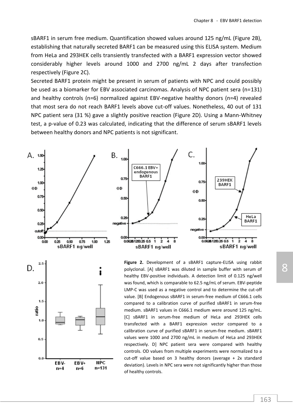sBARF1 in serum free medium. Quantification showed values around 125 ng/mL (Figure 2B), establishing that naturally secreted BARF1 can be measured using this ELISA system. Medium from HeLa and 293HEK cells transiently transfected with a BARF1 expression vector showed considerably higher levels around 1000 and 2700 ng/mL 2 days after transfection respectively (Figure 2C).

Secreted BARF1 protein might be present in serum of patients with NPC and could possibly be used as a biomarker for EBV associated carcinomas. Analysis of NPC patient sera (n=131) and healthy controls (n=6) normalized against EBV-negative healthy donors (n=4) revealed that most sera do not reach BARF1 levels above cut-off values. Nonetheless, 40 out of 131 NPC patient sera (31 %) gave a slightly positive reaction (Figure 2D). Using a Mann-Whitney test, a p-value of 0.23 was calculated, indicating that the difference of serum sBARF1 levels between healthy donors and NPC patients is not significant.





**Figure 2.** Development of a sBARF1 capture-ELISA using rabbit polyclonal. [A] sBARF1 was diluted in sample buffer with serum of healthy EBV-positive individuals. A detection limit of 0.125 ng/well was found, which is comparable to 62.5 ng/mL of serum. EBV-peptide LMP-C was used as a negative control and to determine the cut-off value. [B] Endogenous sBARF1 in serum-free medium of C666.1 cells compared to a calibration curve of purified sBARF1 in serum-free medium. sBARF1 values in C666.1 medium were around 125 ng/mL. [C] sBARF1 in serum-free medium of HeLa and 293HEK cells transfected with a BARF1 expression vector compared to a calibration curve of purified sBARF1 in serum-free medium. sBARF1 values were 1000 and 2700 ng/mL in medium of HeLa and 293HEK respectively. D] NPC patient sera were compared with healthy controls. OD values from multiple experiments were normalized to a cut-off value based on 3 healthy donors (average + 2x standard deviation). Levels in NPC sera were not significantly higher than those of healthy controls.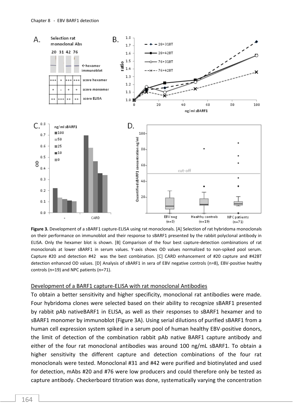

**Figure 3.** Development of a sBARF1 capture-ELISA using rat monoclonals. [A] Selection of rat hybridoma monoclonals on their performance on immunoblot and their response to sBARF1 presented by the rabbit polyclonal antibody in ELISA. Only the hexamer blot is shown. [B] Comparison of the four best capture-detection combinations of rat monoclonals at lower sBARF1 in serum values. Y-axis shows OD values normalized to non-spiked pool serum. Capture #20 and detection #42 was the best combination. [C] CARD enhancement of #20 capture and #42BT detection enhanced OD values. [D] Analysis of sBARF1 in sera of EBV negative controls (n=8), EBV-positive healthy controls (n=19) and NPC patients (n=71).

#### Development of a BARF1 capture-ELISA with rat monoclonal Antibodies

To obtain a better sensitivity and higher specificity, monoclonal rat antibodies were made. Four hybridoma clones were selected based on their ability to recognize sBARF1 presented by rabbit pAb nativeBARF1 in ELISA, as well as their responses to sBARF1 hexamer and to sBARF1 monomer by immunoblot (Figure 3A). Using serial dilutions of purified sBARF1 from a human cell expression system spiked in a serum pool of human healthy EBV-positive donors, the limit of detection of the combination rabbit pAb native BARF1 capture antibody and either of the four rat monoclonal antibodies was around 100 ng/mL sBARF1. To obtain a higher sensitivity the different capture and detection combinations of the four rat monoclonals were tested. Monoclonal #31 and #42 were purified and biotinylated and used for detection, mAbs #20 and #76 were low producers and could therefore only be tested as capture antibody. Checkerboard titration was done, systematically varying the concentration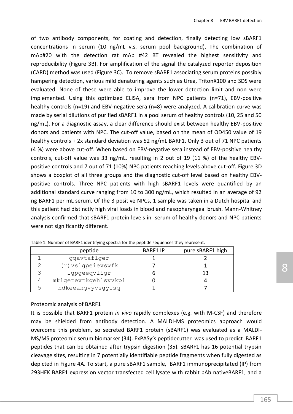of two antibody components, for coating and detection, finally detecting low sBARF1 concentrations in serum (10 ng/mL v.s. serum pool background). The combination of mAb#20 with the detection rat mAb #42 BT revealed the highest sensitivity and reproducibility (Figure 3B). For amplification of the signal the catalyzed reporter deposition (CARD) method was used (Figure 3C). To remove sBARF1 associating serum proteins possibly hampering detection, various mild denaturing agents such as Urea, TritonX100 and SDS were evaluated. None of these were able to improve the lower detection limit and non were implemented. Using this optimized ELISA, sera from NPC patients (n=71), EBV-positive healthy controls (n=19) and EBV-negative sera (n=8) were analyzed. A calibration curve was made by serial dilutions of purified sBARF1 in a pool serum of healthy controls (10, 25 and 50 ng/mL). For a diagnostic assay, a clear difference should exist between healthy EBV-positive donors and patients with NPC. The cut-off value, based on the mean of OD450 value of 19 healthy controls + 2x standard deviation was 52 ng/mL BARF1. Only 3 out of 71 NPC patients (4 %) were above cut-off. When based on EBV-negative sera instead of EBV-positive healthy controls, cut-off value was 33 ng/mL, resulting in 2 out of 19 (11 %) of the healthy EBVpositive controls and 7 out of 71 (10%) NPC patients reaching levels above cut-off. Figure 3D shows a boxplot of all three groups and the diagnostic cut-off level based on healthy EBVpositive controls. Three NPC patients with high sBARF1 levels were quantified by an additional standard curve ranging from 10 to 300 ng/mL, which resulted in an average of 92 ng BARF1 per mL serum. Of the 3 positive NPCs, 1 sample was taken in a Dutch hospital and this patient had distinctly high viral loads in blood and nasopharyngeal brush. Mann-Whitney analysis confirmed that sBARF1 protein levels in serum of healthy donors and NPC patients were not significantly different.

|   | peptide              | <b>BARF1 IP</b> | pure sBARF1 high |
|---|----------------------|-----------------|------------------|
|   | qqavtaflqer          |                 |                  |
|   | $(r)$ vslqpeievswfk  |                 |                  |
|   | lgpgeeqvligr         |                 | 13               |
|   | mklgetevtkqehlsvvkpl |                 |                  |
| ᄃ | ndkeeahgvyvsgylsq    |                 |                  |

Table 1. Number of BARF1 identifying spectra for the peptide sequences they represent.

#### Proteomic analysis of BARF1

It is possible that BARF1 protein *in vivo* rapidly complexes (e.g. with M-CSF) and therefore may be shielded from antibody detection. A MALDI-MS proteomics approach would overcome this problem, so secreted BARF1 protein (sBARF1) was evaluated as a MALDI-MS/MS proteomic serum biomarker (34). ExPASy's peptidecutter was used to predict BARF1 peptides that can be obtained after trypsin digestion (35). sBARF1 has 16 potential trypsin cleavage sites, resulting in 7 potentially identifiable peptide fragments when fully digested as depicted in Figure 4A. To start, a pure sBARF1 sample, BARF1 immunoprecipitated (IP) from 293HEK BARF1 expression vector transfected cell lysate with rabbit pAb nativeBARF1, and a 8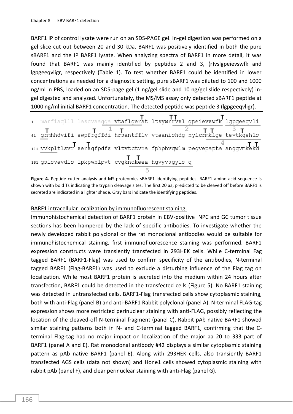BARF1 IP of control lysate were run on an SDS-PAGE gel. In-gel digestion was performed on a gel slice cut out between 20 and 30 kDa. BARF1 was positively identified in both the pure sBARF1 and the IP BARF1 lysate. When analyzing spectra of BARF1 in more detail, it was found that BARF1 was mainly identified by peptides 2 and 3, (r)vslgpeievswfk and lgpgeeqvligr, respectively (Table 1). To test whether BARF1 could be identified in lower concentrations as needed for a diagnostic setting, pure sBARF1 was diluted to 100 and 1000 ng/ml in PBS, loaded on an SDS-page gel (1 ng/gel slide and 10 ng/gel slide respectively) ingel digested and analyzed. Unfortunately, the MS/MS assay only detected sBARF1 peptide at 1000 ng/ml initial BARF1 concentration. The detected peptide was peptide 3 (lgpgeeqvligr).

**Figure 4.** Peptide cutter analysis and MS-proteomics sBARF1 identifying peptides. BARF1 amino acid sequence is shown with bold Ts indicating the trypsin cleavage sites. The first 20 aa, predicted to be cleaved off before BARF1 is secreted are indicated in a lighter shade. Gray bars indicate the identifying peptides.

#### BARF1 intracellular localization by immunofluorescent staining.

Immunohistochemical detection of BARF1 protein in EBV-positive NPC and GC tumor tissue sections has been hampered by the lack of specific antibodies. To investigate whether the newly developed rabbit polyclonal or the rat monoclonal antibodies would be suitable for immunohistochemical staining, first immunofluorescence staining was performed. BARF1 expression constructs were transiently transfected in 293HEK cells. While C-terminal Fag tagged BARF1 (BARF1-Flag) was used to confirm specificity of the antibodies, N-terminal tagged BARF1 (Flag-BARF1) was used to exclude a disturbing influence of the Flag tag on localization. While most BARF1 protein is secreted into the medium within 24 hours after transfection, BARF1 could be detected in the transfected cells (Figure 5). No BARF1 staining was detected in untransfected cells. BARF1-Flag transfected cells show cytoplasmic staining, both with anti-Flag (panel B) and anti-BARF1 Rabbit polyclonal (panel A). N-terminal FLAG-tag expression shows more restricted perinuclear staining with anti-FLAG, possibly reflecting the location of the cleaved-off N-terminal fragment (panel C), Rabbit pAb native BARF1 showed similar staining patterns both in N- and C-terminal tagged BARF1, confirming that the Cterminal Flag-tag had no major impact on localization of the major aa 20 to 333 part of BARF1 (panel A and E). Rat monoclonal antibody #42 displays a similar cytoplasmic staining pattern as pAb native BARF1 (panel E). Along with 293HEK cells, also transiently BARF1 transfected AGS cells (data not shown) and Hone1 cells showed cytoplasmic staining with rabbit pAb (panel F), and clear perinuclear staining with anti-Flag (panel G).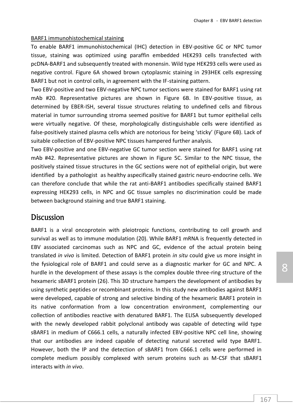#### BARF1 immunohistochemical staining

To enable BARF1 immunohistochemical (IHC) detection in EBV-positive GC or NPC tumor tissue, staining was optimized using paraffin embedded HEK293 cells transfected with pcDNA-BARF1 and subsequently treated with monensin. Wild type HEK293 cells were used as negative control. Figure 6A showed brown cytoplasmic staining in 293HEK cells expressing BARF1 but not in control cells, in agreement with the IF-staining pattern.

Two EBV-positive and two EBV-negative NPC tumor sections were stained for BARF1 using rat mAb #20. Representative pictures are shown in Figure 6B. In EBV-positive tissue, as determined by EBER-ISH, several tissue structures relating to undefined cells and fibrous material in tumor surrounding stroma seemed positive for BARF1 but tumor epithelial cells were virtually negative. Of these, morphologically distinguishable cells were identified as false-positively stained plasma cells which are notorious for being 'sticky' (Figure 6B). Lack of suitable collection of EBV-positive NPC tissues hampered further analysis.

Two EBV-positive and one EBV-negative GC tumor section were stained for BARF1 using rat mAb #42. Representative pictures are shown in Figure 5C. Similar to the NPC tissue, the positively stained tissue structures in the GC sections were not of epithelial origin, but were identified by a pathologist as healthy aspecifically stained gastric neuro-endocrine cells. We can therefore conclude that while the rat anti-BARF1 antibodies specifically stained BARF1 expressing HEK293 cells, in NPC and GC tissue samples no discrimination could be made between background staining and true BARF1 staining.

### **Discussion**

BARF1 is a viral oncoprotein with pleiotropic functions, contributing to cell growth and survival as well as to immune modulation (20). While BARF1 mRNA is frequently detected in EBV associated carcinomas such as NPC and GC, evidence of the actual protein being translated *in vivo* is limited. Detection of BARF1 protein *in situ* could give us more insight in the fysiological role of BARF1 and could serve as a diagnostic marker for GC and NPC. A hurdle in the development of these assays is the complex double three-ring structure of the hexameric sBARF1 protein (26). This 3D structure hampers the development of antibodies by using synthetic peptides or recombinant proteins. In this study new antibodies against BARF1 were developed, capable of strong and selective binding of the hexameric BARF1 protein in its native conformation from a low concentration environment, complementing our collection of antibodies reactive with denatured BARF1. The ELISA subsequently developed with the newly developed rabbit polyclonal antibody was capable of detecting wild type sBARF1 in medium of C666.1 cells, a naturally infected EBV-positive NPC cell line, showing that our antibodies are indeed capable of detecting natural secreted wild type BARF1. However, both the IP and the detection of sBARF1 from C666.1 cells were performed in complete medium possibly complexed with serum proteins such as M-CSF that sBARF1 interacts with *in vivo*.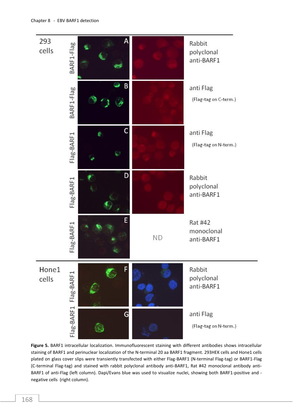

Figure 5. BARF1 intracellular localization. Immunofluorescent staining with different antibodies shows intracellular staining of BARF1 and perinuclear localization of the N-terminal 20 aa BARF1 fragment. 293HEK cells and Hone1 cells plated on glass cover slips were transiently transfected with either Flag-BARF1 (N-terminal Flag-tag) or BARF1-Flag (C-terminal Flag-tag) and stained with rabbit polyclonal antibody anti-BARF1, Rat #42 monoclonal antibody anti-BARF1 of anti-Flag (left column). Dapi/Evans blue was used to visualize nuclei, showing both BARF1-positive and negative cells (right column).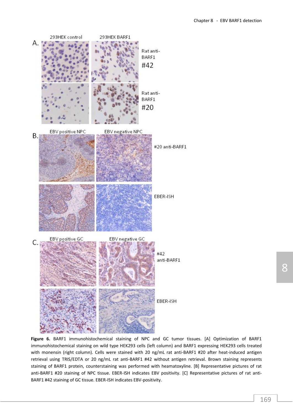

**Figure 6.** BARF1 immunohistochemical staining of NPC and GC tumor tissues. [A] Optimization of BARF1 immunohistochemical staining on wild type HEK293 cells (left column) and BARF1 expressing HEK293 cells treated with monensin (right column). Cells were stained with 20 ng/mL rat anti-BARF1 #20 after heat-induced antigen retrieval using TRIS/EDTA or 20 ng/mL rat anti-BARF1 #42 without antigen retrieval. Brown staining represents staining of BARF1 protein, counterstaining was performed with heamatoxyline. [B] Representative pictures of rat anti-BARF1 #20 staining of NPC tissue. EBER-ISH indicates EBV positivity. [C] Representative pictures of rat anti-BARF1 #42 staining of GC tissue. EBER-ISH indicates EBV-positivity.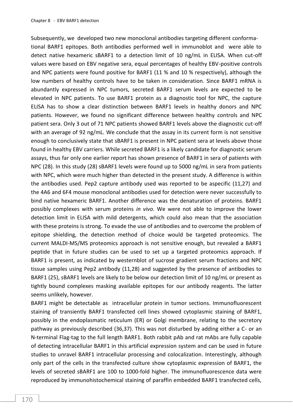Subsequently, we developed two new monoclonal antibodies targeting different conformational BARF1 epitopes. Both antibodies performed well in immunoblot and were able to detect native hexameric sBARF1 to a detection limit of 10 ng/mL in ELISA. When cut-off values were based on EBV negative sera, equal percentages of healthy EBV-positive controls and NPC patients were found positive for BARF1 (11 % and 10 % respectively), although the low numbers of healthy controls have to be taken in consideration. Since BARF1 mRNA is abundantly expressed in NPC tumors, secreted BARF1 serum levels are expected to be elevated in NPC patients. To use BARF1 protein as a diagnostic tool for NPC, the capture ELISA has to show a clear distinction between BARF1 levels in healthy donors and NPC patients. However, we found no significant difference between healthy controls and NPC patient sera. Only 3 out of 71 NPC patients showed BARF1 levels above the diagnostic cut-off with an average of 92 ng/mL. We conclude that the assay in its current form is not sensitive enough to conclusively state that sBARF1 is present in NPC patient sera at levels above those found in healthy EBV carriers. While secreted BARF1 is a likely candidate for diagnostic serum assays, thus far only one earlier report has shown presence of BARF1 in sera of patients with NPC (28). In this study (28) sBARF1 levels were found up to 5000 ng/mL in sera from patients with NPC, which were much higher than detected in the present study. A difference is within the antibodies used. Pep2 capture antibody used was reported to be aspecific (11,27) and the 4A6 and 6F4 mouse monoclonal antibodies used for detection were never successfully to bind native hexameric BARF1. Another difference was the denaturation of proteins. BARF1 possibly complexes with serum proteins *in vivo*. We were not able to improve the lower detection limit in ELISA with mild detergents, which could also mean that the association with these proteins is strong. To evade the use of antibodies and to overcome the problem of epitope shielding, the detection method of choice would be targeted proteomics. The current MALDI-MS/MS proteomics approach is not sensitive enough, but revealed a BARF1 peptide that in future studies can be used to set up a targeted proteomics approach. If BARF1 is present, as indicated by westernblot of sucrose gradient serum fractions and NPC tissue samples using Pep2 antibody (11,28) and suggested by the presence of antibodies to BARF1 (25), sBARF1 levels are likely to be below our detection limit of 10 ng/mL or present as tightly bound complexes masking available epitopes for our antibody reagents. The latter seems unlikely, however.

BARF1 might be detectable as intracellular protein in tumor sections. Immunofluorescent staining of transiently BARF1 transfected cell lines showed cytoplasmic staining of BARF1, possibly in the endoplasmatic reticulum (ER) or Golgi membrane, relating to the secretory pathway as previously described (36,37). This was not disturbed by adding either a C- or an N-terminal Flag-tag to the full length BARF1. Both rabbit pAb and rat mAbs are fully capable of detecting intracellular BARF1 in this artificial expression system and can be used in future studies to unravel BARF1 intracellular processing and colocalization. Interestingly, although only part of the cells in the transfected culture show cytoplasmic expression of BARF1, the levels of secreted sBARF1 are 100 to 1000-fold higher. The immunofluorescence data were reproduced by immunohistochemical staining of paraffin embedded BARF1 transfected cells,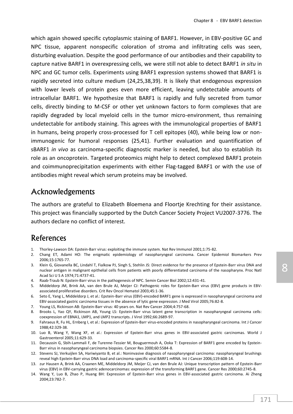which again showed specific cytoplasmic staining of BARF1. However, in EBV-positive GC and NPC tissue, apparent nonspecific coloration of stroma and infiltrating cells was seen, disturbing evaluation. Despite the good performance of our antibodies and their capability to capture native BARF1 in overexpressing cells, we were still not able to detect BARF1 *in situ* in NPC and GC tumor cells. Experiments using BARF1 expression systems showed that BARF1 is rapidly secreted into culture medium (24,25,38,39). It is likely that endogenous expression with lower levels of protein goes even more efficient, leaving undetectable amounts of intracellular BARF1. We hypothesize that BARF1 is rapidly and fully secreted from tumor cells, directly binding to M-CSF or other yet unknown factors to form complexes that are rapidly degraded by local myeloid cells in the tumor micro-environment, thus remaining undetectable for antibody staining. This agrees with the immunological properties of BARF1 in humans, being properly cross-processed for T cell epitopes (40), while being low or nonimmunogenic for humoral responses (25,41). Further evaluation and quantification of sBARF1 *in vivo* as carcinoma-specific diagnostic marker is needed, but also to establish its role as an oncoprotein. Targeted proteomics might help to detect complexed BARF1 protein and coimmunoprecipitation experiments with either Flag-tagged BARF1 or with the use of antibodies might reveal which serum proteins may be involved.

### Acknowledgements

The authors are grateful to Elizabeth Bloemena and Floortje Krechting for their assistance. This project was financially supported by the Dutch Cancer Society Project VU2007-3776. The authors declare no conflict of interest.

# References

- 1. Thorley-Lawson DA: Epstein-Barr virus: exploiting the immune system. Nat Rev Immunol 2001;1:75-82.
- 2. Chang ET, Adami HO: The enigmatic epidemiology of nasopharyngeal carcinoma. Cancer Epidemiol Biomarkers Prev 2006;15:1765-77.
- 3. Klein G, Giovanella BC, Lindahl T, Fialkow PJ, Singh S, Stehlin JS: Direct evidence for the presence of Epstein-Barr virus DNA and nuclear antigen in malignant epithelial cells from patients with poorly differentiated carcinoma of the nasopharynx. Proc Natl Acad Sci U S A 1974;71:4737-41.
- 4. Raab-Traub N: Epstein-Barr virus in the pathogenesis of NPC. Semin Cancer Biol 2002;12:431-41.
- 5. Middeldorp JM, Brink AA, van den Brule AJ, Meijer CJ: Pathogenic roles for Epstein-Barr virus (EBV) gene products in EBVassociated proliferative disorders. Crit Rev Oncol Hematol 2003;45:1-36.
- 6. Seto E, Yang L, Middeldorp J, et al.: Epstein-Barr virus (EBV)-encoded BARF1 gene is expressed in nasopharyngeal carcinoma and EBV-associated gastric carcinoma tissues in the absence of lytic gene expression. J Med Virol 2005;76:82-8.
- 7. Young LS, Rickinson AB: Epstein-Barr virus: 40 years on. Nat Rev Cancer 2004;4:757-68.
- 8. Brooks L, Yao QY, Rickinson AB, Young LS: Epstein-Barr virus latent gene transcription in nasopharyngeal carcinoma cells: coexpression of EBNA1, LMP1, and LMP2 transcripts. J Virol 1992;66:2689-97.
- 9. Fahraeus R, Fu HL, Ernberg I, et al.: Expression of Epstein-Barr virus-encoded proteins in nasopharyngeal carcinoma. Int J Cancer 1988;42:329-38.
- 10. Luo B, Wang Y, Wang XF, et al.: Expression of Epstein-Barr virus genes in EBV-associated gastric carcinomas. World J Gastroenterol 2005;11:629-33.
- 11. Decaussin G, Sbih-Lammali F, de Turenne-Tessier M, Bouguermouh A, Ooka T: Expression of BARF1 gene encoded by Epstein-Barr virus in nasopharyngeal carcinoma biopsies. Cancer Res 2000;60:5584-8.
- 12. Stevens SJ, Verkuijlen SA, Hariwiyanto B, et al.: Noninvasive diagnosis of nasopharyngeal carcinoma: nasopharyngeal brushings reveal high Epstein-Barr virus DNA load and carcinoma-specific viral BARF1 mRNA. Int J Cancer 2006;119:608-14.
- 13. zur Hausen A, Brink AA, Craanen ME, Middeldorp JM, Meijer CJ, van den Brule AJ: Unique transcription pattern of Epstein-Barr virus (EBV) in EBV-carrying gastric adenocarcinomas: expression of the transforming BARF1 gene. Cancer Res 2000;60:2745-8.
- 14. Wang Y, Luo B, Zhao P, Huang BH: Expression of Epstein-Barr virus genes in EBV-associated gastric carcinoma. Ai Zheng 2004;23:782-7.